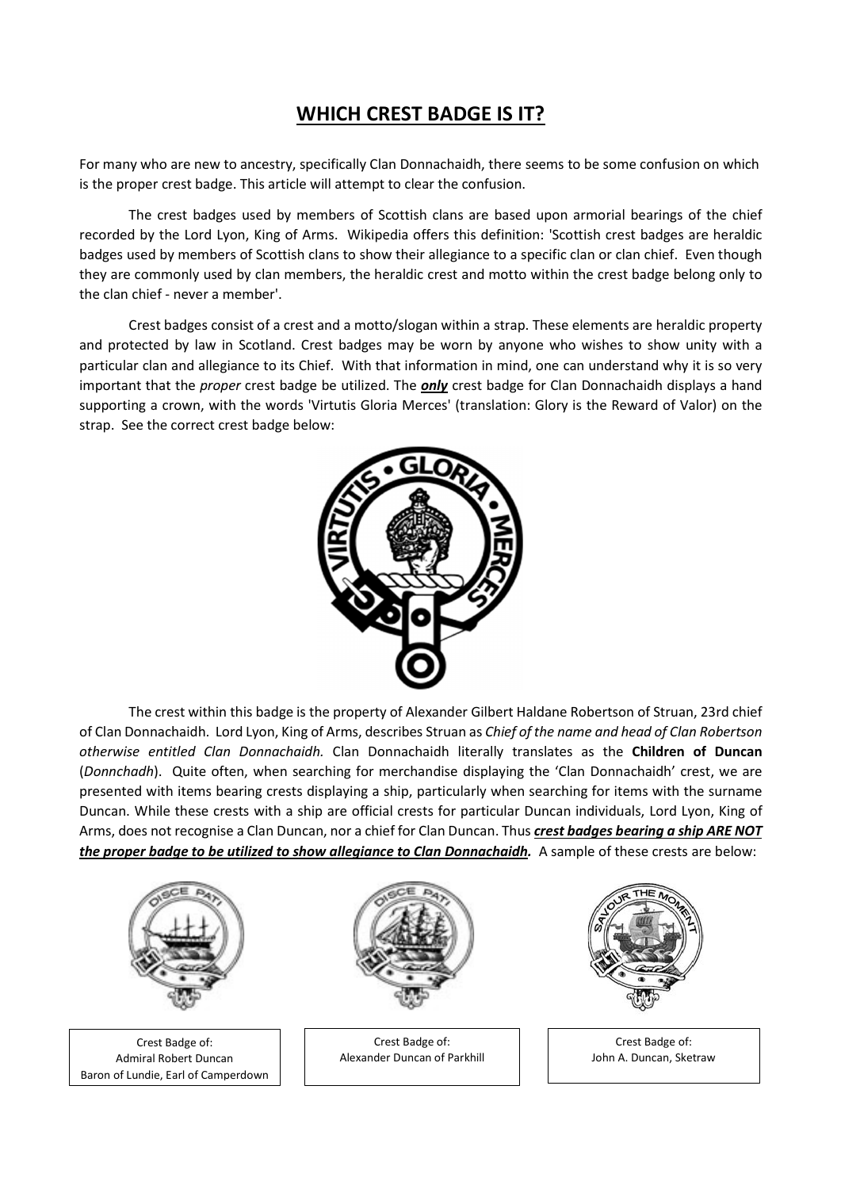## WHICH CREST BADGE IS IT?

For many who are new to ancestry, specifically Clan Donnachaidh, there seems to be some confusion on which is the proper crest badge. This article will attempt to clear the confusion.

The crest badges used by members of Scottish clans are based upon armorial bearings of the chief recorded by the Lord Lyon, King of Arms. Wikipedia offers this definition: 'Scottish crest badges are heraldic badges used by members of Scottish clans to show their allegiance to a specific clan or clan chief. Even though they are commonly used by clan members, the heraldic crest and motto within the crest badge belong only to the clan chief - never a member'.

Crest badges consist of a crest and a motto/slogan within a strap. These elements are heraldic property and protected by law in Scotland. Crest badges may be worn by anyone who wishes to show unity with a particular clan and allegiance to its Chief. With that information in mind, one can understand why it is so very important that the proper crest badge be utilized. The *only* crest badge for Clan Donnachaidh displays a hand supporting a crown, with the words 'Virtutis Gloria Merces' (translation: Glory is the Reward of Valor) on the strap. See the correct crest badge below:



The crest within this badge is the property of Alexander Gilbert Haldane Robertson of Struan, 23rd chief of Clan Donnachaidh. Lord Lyon, King of Arms, describes Struan as Chief of the name and head of Clan Robertson otherwise entitled Clan Donnachaidh. Clan Donnachaidh literally translates as the Children of Duncan (Donnchadh). Quite often, when searching for merchandise displaying the 'Clan Donnachaidh' crest, we are presented with items bearing crests displaying a ship, particularly when searching for items with the surname Duncan. While these crests with a ship are official crests for particular Duncan individuals, Lord Lyon, King of Arms, does not recognise a Clan Duncan, nor a chief for Clan Duncan. Thus crest badges bearing a ship ARE NOT the proper badge to be utilized to show allegiance to Clan Donnachaidh. A sample of these crests are below:



 Crest Badge of: Admiral Robert Duncan Baron of Lundie, Earl of Camperdown



Crest Badge of: Alexander Duncan of Parkhill



Crest Badge of: John A. Duncan, Sketraw